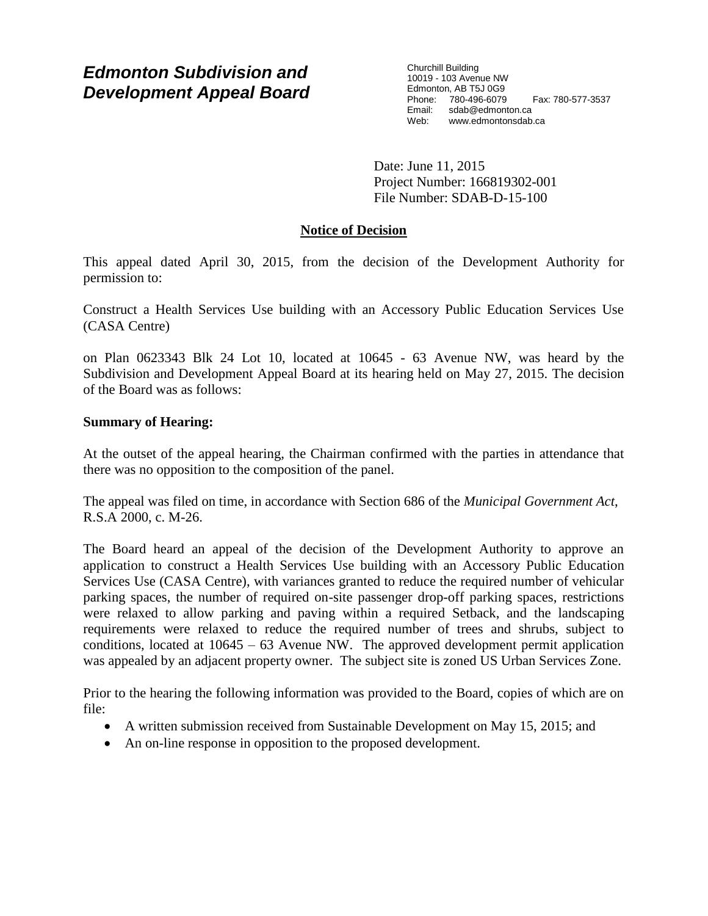# *Edmonton Subdivision and Development Appeal Board*

Churchill Building 10019 - 103 Avenue NW Edmonton, AB T5J 0G9 Phone: 780-496-6079 Fax: 780-577-3537 Email: sdab@edmonton.ca Web: www.edmontonsdab.ca

Date: June 11, 2015 Project Number: 166819302-001 File Number: SDAB-D-15-100

## **Notice of Decision**

This appeal dated April 30, 2015, from the decision of the Development Authority for permission to:

Construct a Health Services Use building with an Accessory Public Education Services Use (CASA Centre)

on Plan 0623343 Blk 24 Lot 10, located at 10645 - 63 Avenue NW, was heard by the Subdivision and Development Appeal Board at its hearing held on May 27, 2015. The decision of the Board was as follows:

## **Summary of Hearing:**

At the outset of the appeal hearing, the Chairman confirmed with the parties in attendance that there was no opposition to the composition of the panel.

The appeal was filed on time, in accordance with Section 686 of the *Municipal Government Act*, R.S.A 2000, c. M-26.

The Board heard an appeal of the decision of the Development Authority to approve an application to construct a Health Services Use building with an Accessory Public Education Services Use (CASA Centre), with variances granted to reduce the required number of vehicular parking spaces, the number of required on-site passenger drop-off parking spaces, restrictions were relaxed to allow parking and paving within a required Setback, and the landscaping requirements were relaxed to reduce the required number of trees and shrubs, subject to conditions, located at  $10645 - 63$  Avenue NW. The approved development permit application was appealed by an adjacent property owner. The subject site is zoned US Urban Services Zone.

Prior to the hearing the following information was provided to the Board, copies of which are on file:

- A written submission received from Sustainable Development on May 15, 2015; and
- An on-line response in opposition to the proposed development.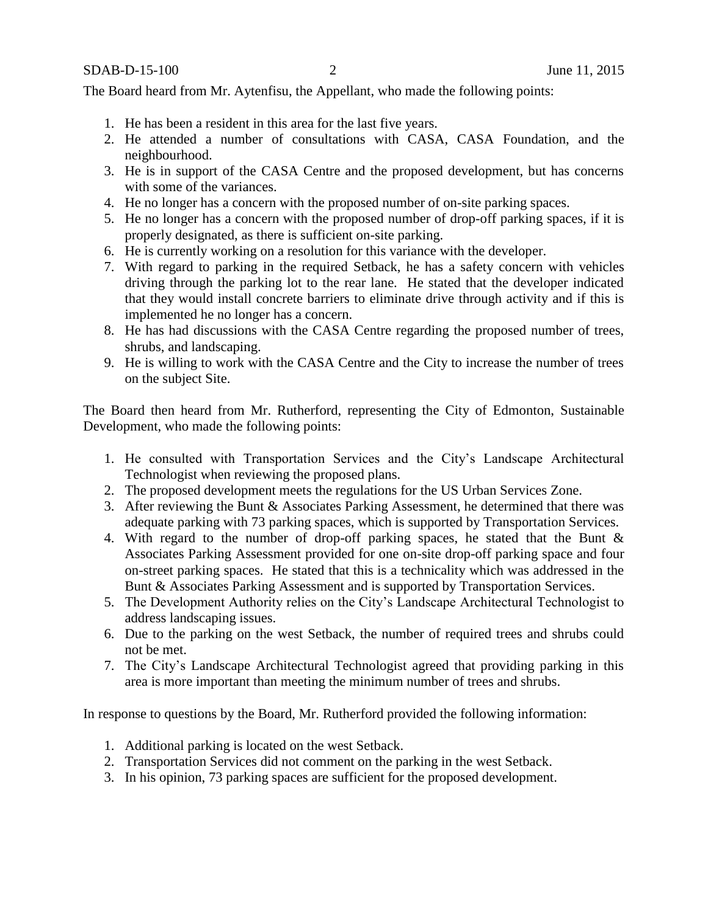The Board heard from Mr. Aytenfisu, the Appellant, who made the following points:

- 1. He has been a resident in this area for the last five years.
- 2. He attended a number of consultations with CASA, CASA Foundation, and the neighbourhood.
- 3. He is in support of the CASA Centre and the proposed development, but has concerns with some of the variances.
- 4. He no longer has a concern with the proposed number of on-site parking spaces.
- 5. He no longer has a concern with the proposed number of drop-off parking spaces, if it is properly designated, as there is sufficient on-site parking.
- 6. He is currently working on a resolution for this variance with the developer.
- 7. With regard to parking in the required Setback, he has a safety concern with vehicles driving through the parking lot to the rear lane. He stated that the developer indicated that they would install concrete barriers to eliminate drive through activity and if this is implemented he no longer has a concern.
- 8. He has had discussions with the CASA Centre regarding the proposed number of trees, shrubs, and landscaping.
- 9. He is willing to work with the CASA Centre and the City to increase the number of trees on the subject Site.

The Board then heard from Mr. Rutherford, representing the City of Edmonton, Sustainable Development, who made the following points:

- 1. He consulted with Transportation Services and the City's Landscape Architectural Technologist when reviewing the proposed plans.
- 2. The proposed development meets the regulations for the US Urban Services Zone.
- 3. After reviewing the Bunt & Associates Parking Assessment, he determined that there was adequate parking with 73 parking spaces, which is supported by Transportation Services.
- 4. With regard to the number of drop-off parking spaces, he stated that the Bunt & Associates Parking Assessment provided for one on-site drop-off parking space and four on-street parking spaces. He stated that this is a technicality which was addressed in the Bunt & Associates Parking Assessment and is supported by Transportation Services.
- 5. The Development Authority relies on the City's Landscape Architectural Technologist to address landscaping issues.
- 6. Due to the parking on the west Setback, the number of required trees and shrubs could not be met.
- 7. The City's Landscape Architectural Technologist agreed that providing parking in this area is more important than meeting the minimum number of trees and shrubs.

In response to questions by the Board, Mr. Rutherford provided the following information:

- 1. Additional parking is located on the west Setback.
- 2. Transportation Services did not comment on the parking in the west Setback.
- 3. In his opinion, 73 parking spaces are sufficient for the proposed development.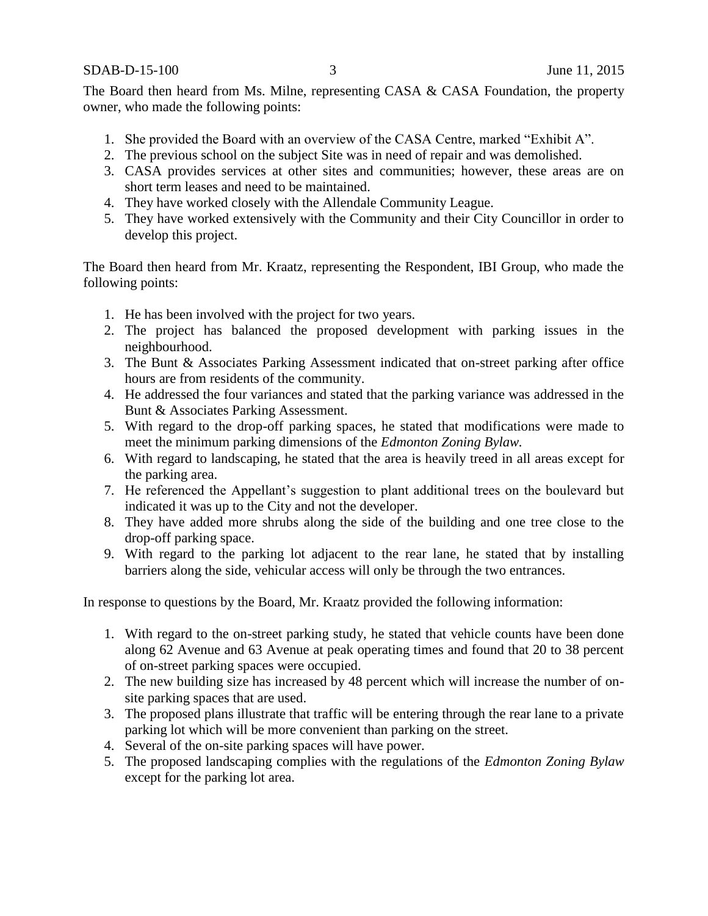SDAB-D-15-100 3 June 11, 2015

The Board then heard from Ms. Milne, representing CASA & CASA Foundation, the property owner, who made the following points:

- 1. She provided the Board with an overview of the CASA Centre, marked "Exhibit A".
- 2. The previous school on the subject Site was in need of repair and was demolished.
- 3. CASA provides services at other sites and communities; however, these areas are on short term leases and need to be maintained.
- 4. They have worked closely with the Allendale Community League.
- 5. They have worked extensively with the Community and their City Councillor in order to develop this project.

The Board then heard from Mr. Kraatz, representing the Respondent, IBI Group, who made the following points:

- 1. He has been involved with the project for two years.
- 2. The project has balanced the proposed development with parking issues in the neighbourhood.
- 3. The Bunt & Associates Parking Assessment indicated that on-street parking after office hours are from residents of the community.
- 4. He addressed the four variances and stated that the parking variance was addressed in the Bunt & Associates Parking Assessment.
- 5. With regard to the drop-off parking spaces, he stated that modifications were made to meet the minimum parking dimensions of the *Edmonton Zoning Bylaw.*
- 6. With regard to landscaping, he stated that the area is heavily treed in all areas except for the parking area.
- 7. He referenced the Appellant's suggestion to plant additional trees on the boulevard but indicated it was up to the City and not the developer.
- 8. They have added more shrubs along the side of the building and one tree close to the drop-off parking space.
- 9. With regard to the parking lot adjacent to the rear lane, he stated that by installing barriers along the side, vehicular access will only be through the two entrances.

In response to questions by the Board, Mr. Kraatz provided the following information:

- 1. With regard to the on-street parking study, he stated that vehicle counts have been done along 62 Avenue and 63 Avenue at peak operating times and found that 20 to 38 percent of on-street parking spaces were occupied.
- 2. The new building size has increased by 48 percent which will increase the number of onsite parking spaces that are used.
- 3. The proposed plans illustrate that traffic will be entering through the rear lane to a private parking lot which will be more convenient than parking on the street.
- 4. Several of the on-site parking spaces will have power.
- 5. The proposed landscaping complies with the regulations of the *Edmonton Zoning Bylaw* except for the parking lot area.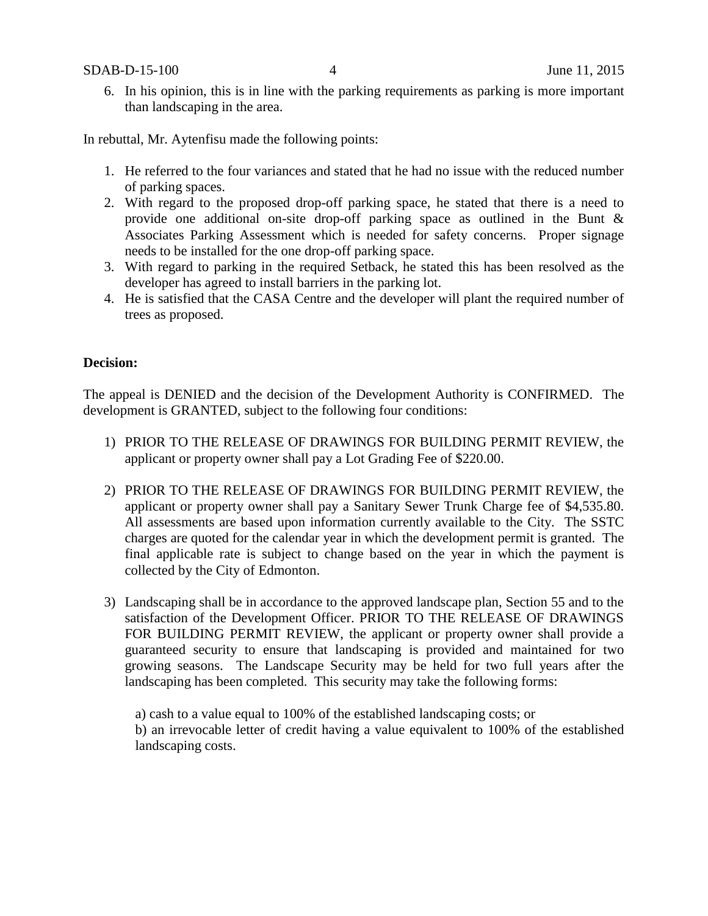SDAB-D-15-100 4 June 11, 2015

6. In his opinion, this is in line with the parking requirements as parking is more important than landscaping in the area.

In rebuttal, Mr. Aytenfisu made the following points:

- 1. He referred to the four variances and stated that he had no issue with the reduced number of parking spaces.
- 2. With regard to the proposed drop-off parking space, he stated that there is a need to provide one additional on-site drop-off parking space as outlined in the Bunt & Associates Parking Assessment which is needed for safety concerns. Proper signage needs to be installed for the one drop-off parking space.
- 3. With regard to parking in the required Setback, he stated this has been resolved as the developer has agreed to install barriers in the parking lot.
- 4. He is satisfied that the CASA Centre and the developer will plant the required number of trees as proposed.

### **Decision:**

The appeal is DENIED and the decision of the Development Authority is CONFIRMED. The development is GRANTED, subject to the following four conditions:

- 1) PRIOR TO THE RELEASE OF DRAWINGS FOR BUILDING PERMIT REVIEW, the applicant or property owner shall pay a Lot Grading Fee of \$220.00.
- 2) PRIOR TO THE RELEASE OF DRAWINGS FOR BUILDING PERMIT REVIEW, the applicant or property owner shall pay a Sanitary Sewer Trunk Charge fee of \$4,535.80. All assessments are based upon information currently available to the City. The SSTC charges are quoted for the calendar year in which the development permit is granted. The final applicable rate is subject to change based on the year in which the payment is collected by the City of Edmonton.
- 3) Landscaping shall be in accordance to the approved landscape plan, Section 55 and to the satisfaction of the Development Officer. PRIOR TO THE RELEASE OF DRAWINGS FOR BUILDING PERMIT REVIEW, the applicant or property owner shall provide a guaranteed security to ensure that landscaping is provided and maintained for two growing seasons. The Landscape Security may be held for two full years after the landscaping has been completed. This security may take the following forms:

a) cash to a value equal to 100% of the established landscaping costs; or b) an irrevocable letter of credit having a value equivalent to 100% of the established landscaping costs.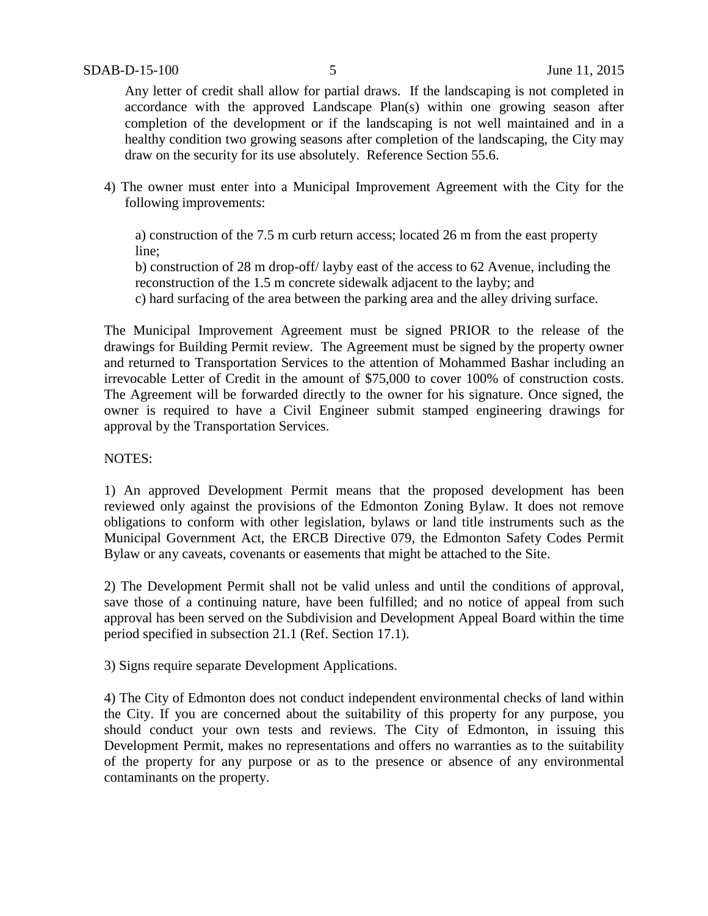Any letter of credit shall allow for partial draws. If the landscaping is not completed in accordance with the approved Landscape Plan(s) within one growing season after completion of the development or if the landscaping is not well maintained and in a healthy condition two growing seasons after completion of the landscaping, the City may draw on the security for its use absolutely. Reference Section 55.6.

4) The owner must enter into a Municipal Improvement Agreement with the City for the following improvements:

a) construction of the 7.5 m curb return access; located 26 m from the east property line;

b) construction of 28 m drop-off/ layby east of the access to 62 Avenue, including the reconstruction of the 1.5 m concrete sidewalk adjacent to the layby; and

c) hard surfacing of the area between the parking area and the alley driving surface.

The Municipal Improvement Agreement must be signed PRIOR to the release of the drawings for Building Permit review. The Agreement must be signed by the property owner and returned to Transportation Services to the attention of Mohammed Bashar including an irrevocable Letter of Credit in the amount of \$75,000 to cover 100% of construction costs. The Agreement will be forwarded directly to the owner for his signature. Once signed, the owner is required to have a Civil Engineer submit stamped engineering drawings for approval by the Transportation Services.

### NOTES:

1) An approved Development Permit means that the proposed development has been reviewed only against the provisions of the Edmonton Zoning Bylaw. It does not remove obligations to conform with other legislation, bylaws or land title instruments such as the Municipal Government Act, the ERCB Directive 079, the Edmonton Safety Codes Permit Bylaw or any caveats, covenants or easements that might be attached to the Site.

2) The Development Permit shall not be valid unless and until the conditions of approval, save those of a continuing nature, have been fulfilled; and no notice of appeal from such approval has been served on the Subdivision and Development Appeal Board within the time period specified in subsection 21.1 (Ref. Section 17.1).

3) Signs require separate Development Applications.

4) The City of Edmonton does not conduct independent environmental checks of land within the City. If you are concerned about the suitability of this property for any purpose, you should conduct your own tests and reviews. The City of Edmonton, in issuing this Development Permit, makes no representations and offers no warranties as to the suitability of the property for any purpose or as to the presence or absence of any environmental contaminants on the property.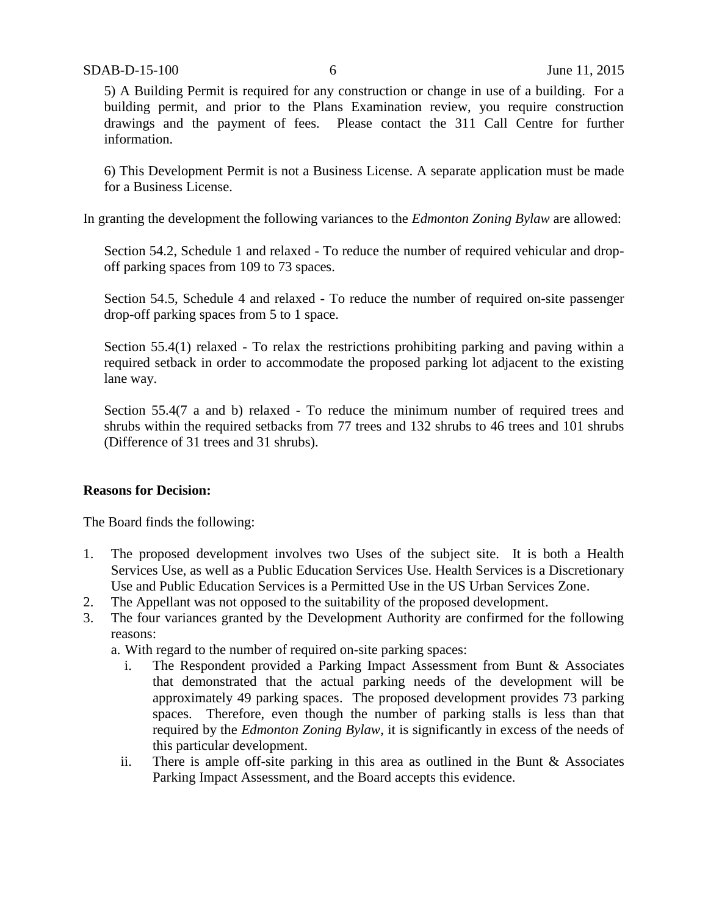5) A Building Permit is required for any construction or change in use of a building. For a building permit, and prior to the Plans Examination review, you require construction drawings and the payment of fees. Please contact the 311 Call Centre for further information.

6) This Development Permit is not a Business License. A separate application must be made for a Business License.

In granting the development the following variances to the *Edmonton Zoning Bylaw* are allowed:

Section 54.2, Schedule 1 and relaxed - To reduce the number of required vehicular and dropoff parking spaces from 109 to 73 spaces.

Section 54.5, Schedule 4 and relaxed - To reduce the number of required on-site passenger drop-off parking spaces from 5 to 1 space.

Section 55.4(1) relaxed - To relax the restrictions prohibiting parking and paving within a required setback in order to accommodate the proposed parking lot adjacent to the existing lane way.

Section 55.4(7 a and b) relaxed - To reduce the minimum number of required trees and shrubs within the required setbacks from 77 trees and 132 shrubs to 46 trees and 101 shrubs (Difference of 31 trees and 31 shrubs).

### **Reasons for Decision:**

The Board finds the following:

- 1. The proposed development involves two Uses of the subject site. It is both a Health Services Use, as well as a Public Education Services Use. Health Services is a Discretionary Use and Public Education Services is a Permitted Use in the US Urban Services Zone.
- 2. The Appellant was not opposed to the suitability of the proposed development.
- 3. The four variances granted by the Development Authority are confirmed for the following reasons:

a. With regard to the number of required on-site parking spaces:

- i. The Respondent provided a Parking Impact Assessment from Bunt & Associates that demonstrated that the actual parking needs of the development will be approximately 49 parking spaces. The proposed development provides 73 parking spaces. Therefore, even though the number of parking stalls is less than that required by the *Edmonton Zoning Bylaw*, it is significantly in excess of the needs of this particular development.
- ii. There is ample off-site parking in this area as outlined in the Bunt  $\&$  Associates Parking Impact Assessment, and the Board accepts this evidence.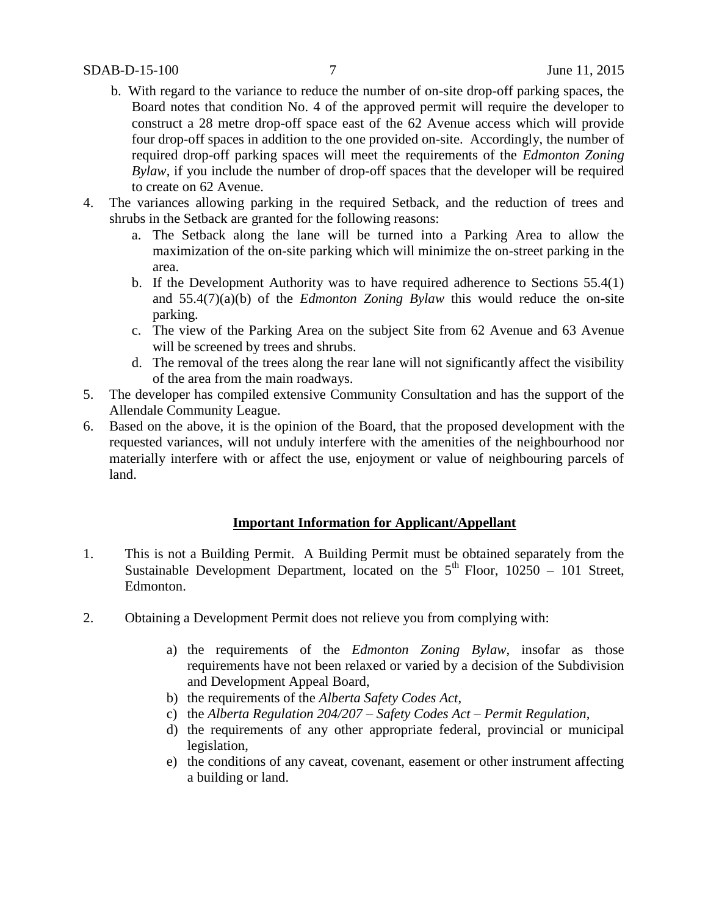- b. With regard to the variance to reduce the number of on-site drop-off parking spaces, the Board notes that condition No. 4 of the approved permit will require the developer to construct a 28 metre drop-off space east of the 62 Avenue access which will provide four drop-off spaces in addition to the one provided on-site. Accordingly, the number of required drop-off parking spaces will meet the requirements of the *Edmonton Zoning Bylaw*, if you include the number of drop-off spaces that the developer will be required to create on 62 Avenue.
- 4. The variances allowing parking in the required Setback, and the reduction of trees and shrubs in the Setback are granted for the following reasons:
	- a. The Setback along the lane will be turned into a Parking Area to allow the maximization of the on-site parking which will minimize the on-street parking in the area.
	- b. If the Development Authority was to have required adherence to Sections 55.4(1) and 55.4(7)(a)(b) of the *Edmonton Zoning Bylaw* this would reduce the on-site parking.
	- c. The view of the Parking Area on the subject Site from 62 Avenue and 63 Avenue will be screened by trees and shrubs.
	- d. The removal of the trees along the rear lane will not significantly affect the visibility of the area from the main roadways.
- 5. The developer has compiled extensive Community Consultation and has the support of the Allendale Community League.
- 6. Based on the above, it is the opinion of the Board, that the proposed development with the requested variances, will not unduly interfere with the amenities of the neighbourhood nor materially interfere with or affect the use, enjoyment or value of neighbouring parcels of land.

### **Important Information for Applicant/Appellant**

- 1. This is not a Building Permit. A Building Permit must be obtained separately from the Sustainable Development Department, located on the  $5<sup>th</sup>$  Floor, 10250 – 101 Street, Edmonton.
- 2. Obtaining a Development Permit does not relieve you from complying with:
	- a) the requirements of the *Edmonton Zoning Bylaw*, insofar as those requirements have not been relaxed or varied by a decision of the Subdivision and Development Appeal Board,
	- b) the requirements of the *Alberta Safety Codes Act*,
	- c) the *Alberta Regulation 204/207 – Safety Codes Act – Permit Regulation*,
	- d) the requirements of any other appropriate federal, provincial or municipal legislation,
	- e) the conditions of any caveat, covenant, easement or other instrument affecting a building or land.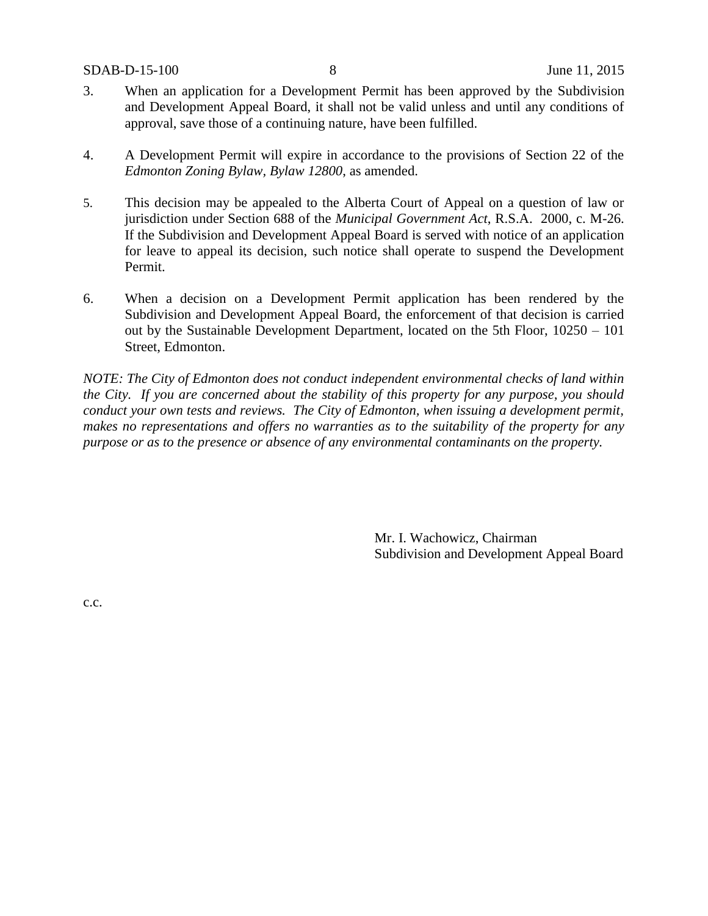- 3. When an application for a Development Permit has been approved by the Subdivision and Development Appeal Board, it shall not be valid unless and until any conditions of approval, save those of a continuing nature, have been fulfilled.
- 4. A Development Permit will expire in accordance to the provisions of Section 22 of the *Edmonton Zoning Bylaw, Bylaw 12800*, as amended.
- 5. This decision may be appealed to the Alberta Court of Appeal on a question of law or jurisdiction under Section 688 of the *Municipal Government Act*, R.S.A. 2000, c. M-26. If the Subdivision and Development Appeal Board is served with notice of an application for leave to appeal its decision, such notice shall operate to suspend the Development Permit.
- 6. When a decision on a Development Permit application has been rendered by the Subdivision and Development Appeal Board, the enforcement of that decision is carried out by the Sustainable Development Department, located on the 5th Floor, 10250 – 101 Street, Edmonton.

*NOTE: The City of Edmonton does not conduct independent environmental checks of land within the City. If you are concerned about the stability of this property for any purpose, you should conduct your own tests and reviews. The City of Edmonton, when issuing a development permit, makes no representations and offers no warranties as to the suitability of the property for any purpose or as to the presence or absence of any environmental contaminants on the property.*

> Mr. I. Wachowicz, Chairman Subdivision and Development Appeal Board

c.c.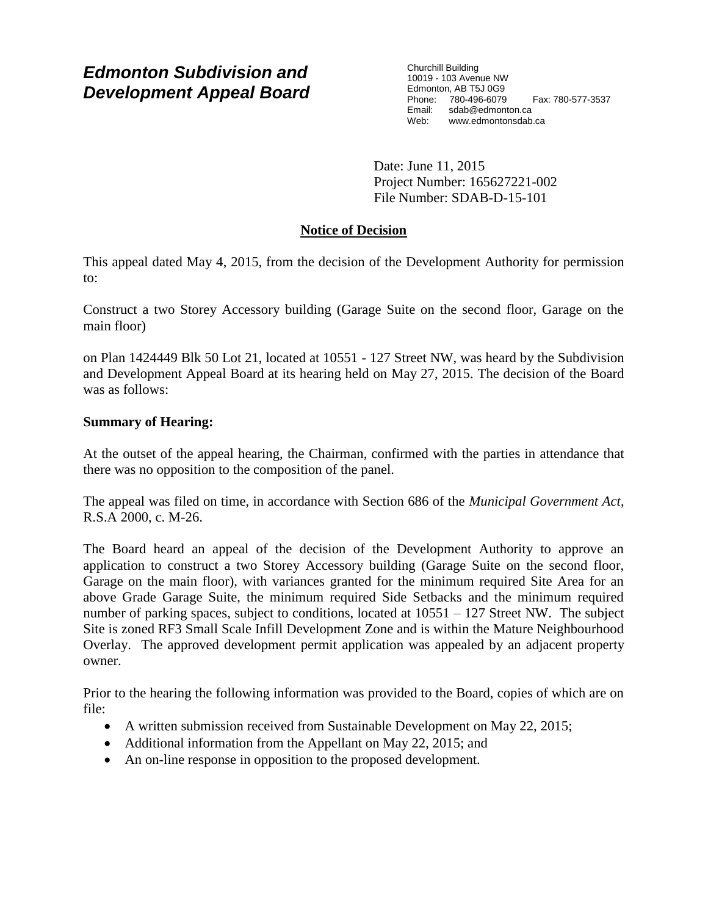# *Edmonton Subdivision and Development Appeal Board*

Churchill Building 10019 - 103 Avenue NW Edmonton, AB T5J 0G9 Phone: 780-496-6079 Fax: 780-577-3537 Email: sdab@edmonton.ca Web: www.edmontonsdab.ca

Date: June 11, 2015 Project Number: 165627221-002 File Number: SDAB-D-15-101

# **Notice of Decision**

This appeal dated May 4, 2015, from the decision of the Development Authority for permission to:

Construct a two Storey Accessory building (Garage Suite on the second floor, Garage on the main floor)

on Plan 1424449 Blk 50 Lot 21, located at 10551 - 127 Street NW, was heard by the Subdivision and Development Appeal Board at its hearing held on May 27, 2015. The decision of the Board was as follows:

# **Summary of Hearing:**

At the outset of the appeal hearing, the Chairman, confirmed with the parties in attendance that there was no opposition to the composition of the panel.

The appeal was filed on time, in accordance with Section 686 of the *Municipal Government Act*, R.S.A 2000, c. M-26.

The Board heard an appeal of the decision of the Development Authority to approve an application to construct a two Storey Accessory building (Garage Suite on the second floor, Garage on the main floor), with variances granted for the minimum required Site Area for an above Grade Garage Suite, the minimum required Side Setbacks and the minimum required number of parking spaces, subject to conditions, located at  $10551 - 127$  Street NW. The subject Site is zoned RF3 Small Scale Infill Development Zone and is within the Mature Neighbourhood Overlay. The approved development permit application was appealed by an adjacent property owner.

Prior to the hearing the following information was provided to the Board, copies of which are on file:

- A written submission received from Sustainable Development on May 22, 2015;
- Additional information from the Appellant on May 22, 2015; and
- An on-line response in opposition to the proposed development.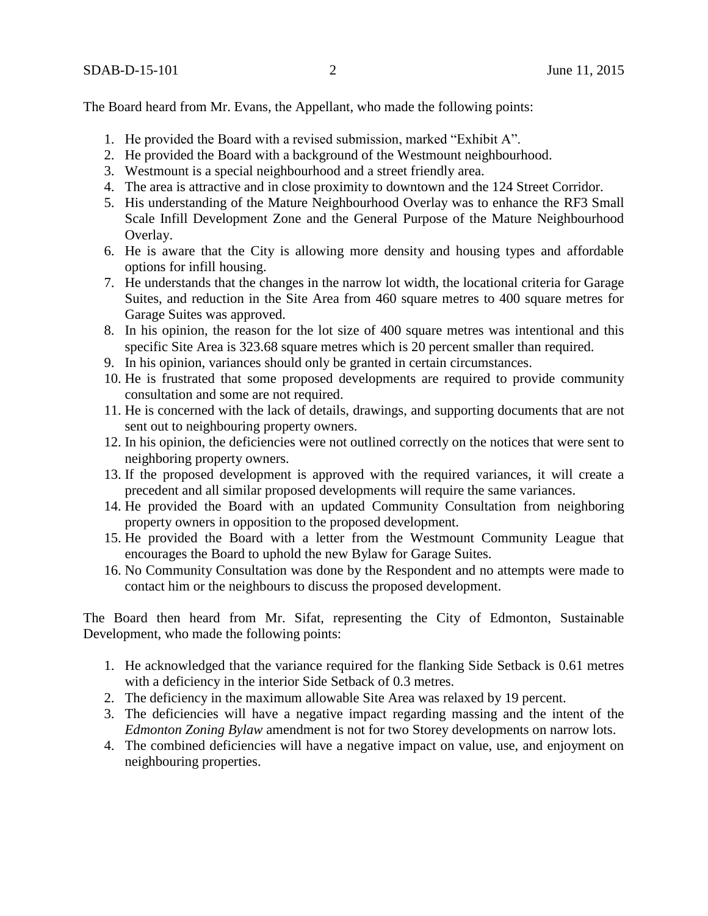The Board heard from Mr. Evans, the Appellant, who made the following points:

- 1. He provided the Board with a revised submission, marked "Exhibit A".
- 2. He provided the Board with a background of the Westmount neighbourhood.
- 3. Westmount is a special neighbourhood and a street friendly area.
- 4. The area is attractive and in close proximity to downtown and the 124 Street Corridor.
- 5. His understanding of the Mature Neighbourhood Overlay was to enhance the RF3 Small Scale Infill Development Zone and the General Purpose of the Mature Neighbourhood Overlay.
- 6. He is aware that the City is allowing more density and housing types and affordable options for infill housing.
- 7. He understands that the changes in the narrow lot width, the locational criteria for Garage Suites, and reduction in the Site Area from 460 square metres to 400 square metres for Garage Suites was approved.
- 8. In his opinion, the reason for the lot size of 400 square metres was intentional and this specific Site Area is 323.68 square metres which is 20 percent smaller than required.
- 9. In his opinion, variances should only be granted in certain circumstances.
- 10. He is frustrated that some proposed developments are required to provide community consultation and some are not required.
- 11. He is concerned with the lack of details, drawings, and supporting documents that are not sent out to neighbouring property owners.
- 12. In his opinion, the deficiencies were not outlined correctly on the notices that were sent to neighboring property owners.
- 13. If the proposed development is approved with the required variances, it will create a precedent and all similar proposed developments will require the same variances.
- 14. He provided the Board with an updated Community Consultation from neighboring property owners in opposition to the proposed development.
- 15. He provided the Board with a letter from the Westmount Community League that encourages the Board to uphold the new Bylaw for Garage Suites.
- 16. No Community Consultation was done by the Respondent and no attempts were made to contact him or the neighbours to discuss the proposed development.

The Board then heard from Mr. Sifat, representing the City of Edmonton, Sustainable Development, who made the following points:

- 1. He acknowledged that the variance required for the flanking Side Setback is 0.61 metres with a deficiency in the interior Side Setback of 0.3 metres.
- 2. The deficiency in the maximum allowable Site Area was relaxed by 19 percent.
- 3. The deficiencies will have a negative impact regarding massing and the intent of the *Edmonton Zoning Bylaw* amendment is not for two Storey developments on narrow lots.
- 4. The combined deficiencies will have a negative impact on value, use, and enjoyment on neighbouring properties.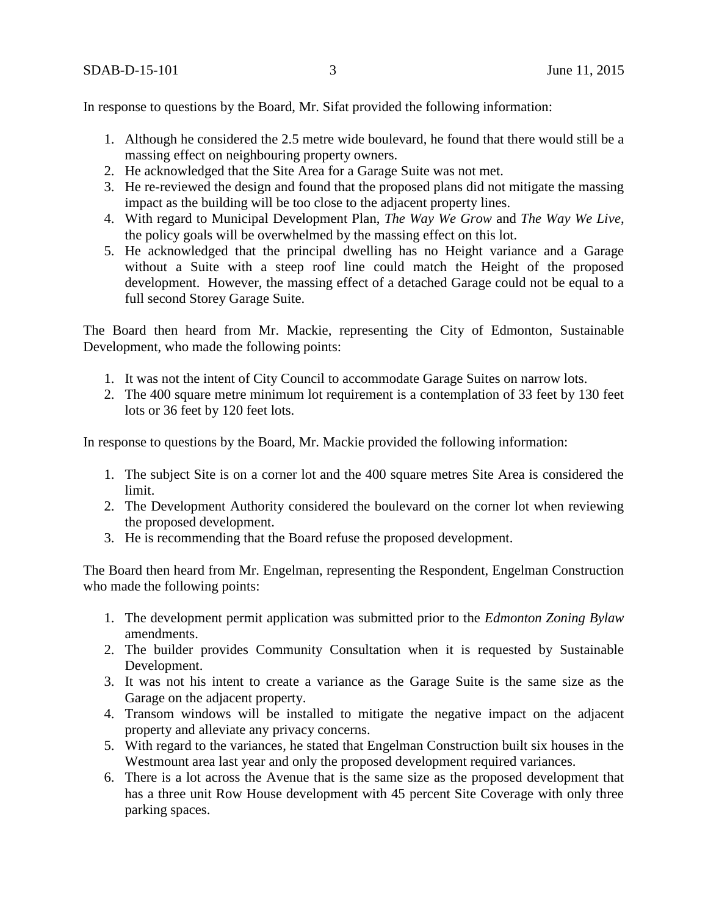In response to questions by the Board, Mr. Sifat provided the following information:

- 1. Although he considered the 2.5 metre wide boulevard, he found that there would still be a massing effect on neighbouring property owners.
- 2. He acknowledged that the Site Area for a Garage Suite was not met.
- 3. He re-reviewed the design and found that the proposed plans did not mitigate the massing impact as the building will be too close to the adjacent property lines.
- 4. With regard to Municipal Development Plan, *The Way We Grow* and *The Way We Live*, the policy goals will be overwhelmed by the massing effect on this lot.
- 5. He acknowledged that the principal dwelling has no Height variance and a Garage without a Suite with a steep roof line could match the Height of the proposed development. However, the massing effect of a detached Garage could not be equal to a full second Storey Garage Suite.

The Board then heard from Mr. Mackie, representing the City of Edmonton, Sustainable Development, who made the following points:

- 1. It was not the intent of City Council to accommodate Garage Suites on narrow lots.
- 2. The 400 square metre minimum lot requirement is a contemplation of 33 feet by 130 feet lots or 36 feet by 120 feet lots.

In response to questions by the Board, Mr. Mackie provided the following information:

- 1. The subject Site is on a corner lot and the 400 square metres Site Area is considered the limit.
- 2. The Development Authority considered the boulevard on the corner lot when reviewing the proposed development.
- 3. He is recommending that the Board refuse the proposed development.

The Board then heard from Mr. Engelman, representing the Respondent, Engelman Construction who made the following points:

- 1. The development permit application was submitted prior to the *Edmonton Zoning Bylaw* amendments.
- 2. The builder provides Community Consultation when it is requested by Sustainable Development.
- 3. It was not his intent to create a variance as the Garage Suite is the same size as the Garage on the adjacent property.
- 4. Transom windows will be installed to mitigate the negative impact on the adjacent property and alleviate any privacy concerns.
- 5. With regard to the variances, he stated that Engelman Construction built six houses in the Westmount area last year and only the proposed development required variances.
- 6. There is a lot across the Avenue that is the same size as the proposed development that has a three unit Row House development with 45 percent Site Coverage with only three parking spaces.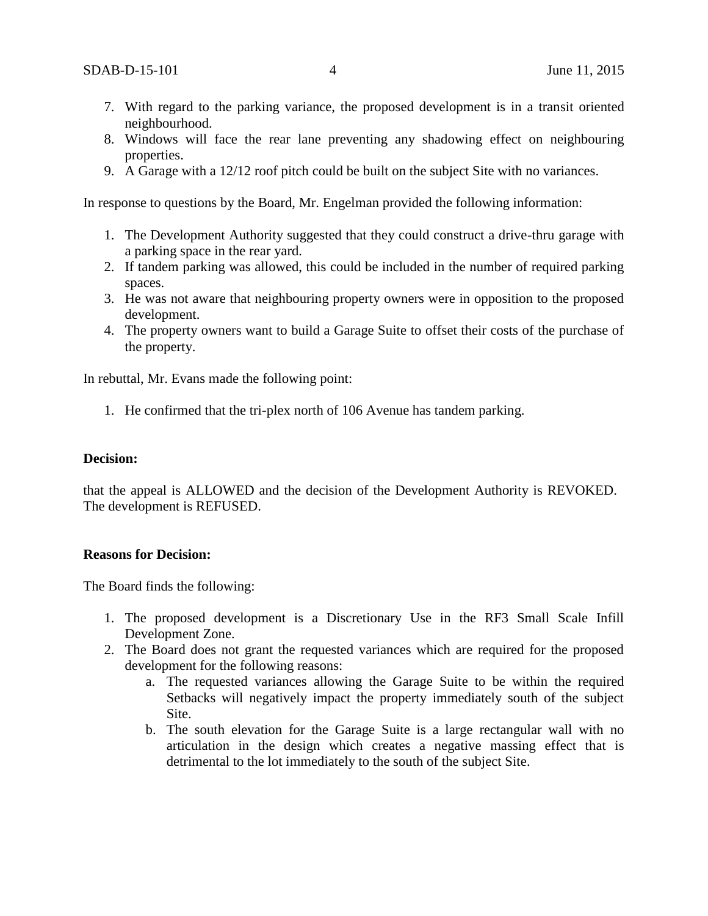- 7. With regard to the parking variance, the proposed development is in a transit oriented neighbourhood.
- 8. Windows will face the rear lane preventing any shadowing effect on neighbouring properties.
- 9. A Garage with a 12/12 roof pitch could be built on the subject Site with no variances.

In response to questions by the Board, Mr. Engelman provided the following information:

- 1. The Development Authority suggested that they could construct a drive-thru garage with a parking space in the rear yard.
- 2. If tandem parking was allowed, this could be included in the number of required parking spaces.
- 3. He was not aware that neighbouring property owners were in opposition to the proposed development.
- 4. The property owners want to build a Garage Suite to offset their costs of the purchase of the property.

In rebuttal, Mr. Evans made the following point:

1. He confirmed that the tri-plex north of 106 Avenue has tandem parking.

### **Decision:**

that the appeal is ALLOWED and the decision of the Development Authority is REVOKED. The development is REFUSED.

#### **Reasons for Decision:**

The Board finds the following:

- 1. The proposed development is a Discretionary Use in the RF3 Small Scale Infill Development Zone.
- 2. The Board does not grant the requested variances which are required for the proposed development for the following reasons:
	- a. The requested variances allowing the Garage Suite to be within the required Setbacks will negatively impact the property immediately south of the subject Site.
	- b. The south elevation for the Garage Suite is a large rectangular wall with no articulation in the design which creates a negative massing effect that is detrimental to the lot immediately to the south of the subject Site.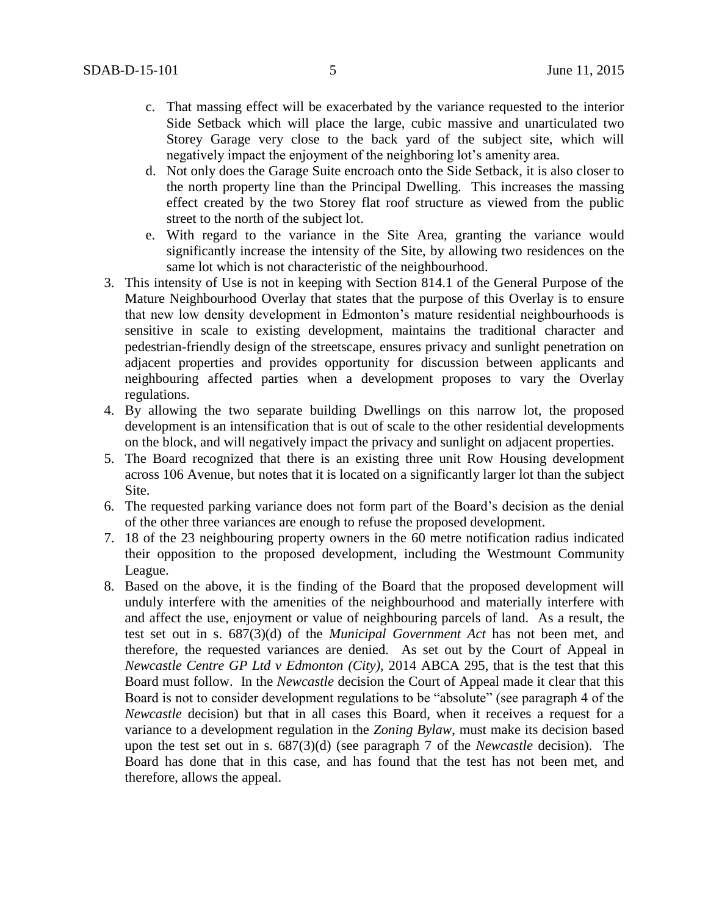- c. That massing effect will be exacerbated by the variance requested to the interior Side Setback which will place the large, cubic massive and unarticulated two Storey Garage very close to the back yard of the subject site, which will negatively impact the enjoyment of the neighboring lot's amenity area.
- d. Not only does the Garage Suite encroach onto the Side Setback, it is also closer to the north property line than the Principal Dwelling. This increases the massing effect created by the two Storey flat roof structure as viewed from the public street to the north of the subject lot.
- e. With regard to the variance in the Site Area, granting the variance would significantly increase the intensity of the Site, by allowing two residences on the same lot which is not characteristic of the neighbourhood.
- 3. This intensity of Use is not in keeping with Section 814.1 of the General Purpose of the Mature Neighbourhood Overlay that states that the purpose of this Overlay is to ensure that new low density development in Edmonton's mature residential neighbourhoods is sensitive in scale to existing development, maintains the traditional character and pedestrian-friendly design of the streetscape, ensures privacy and sunlight penetration on adjacent properties and provides opportunity for discussion between applicants and neighbouring affected parties when a development proposes to vary the Overlay regulations.
- 4. By allowing the two separate building Dwellings on this narrow lot, the proposed development is an intensification that is out of scale to the other residential developments on the block, and will negatively impact the privacy and sunlight on adjacent properties.
- 5. The Board recognized that there is an existing three unit Row Housing development across 106 Avenue, but notes that it is located on a significantly larger lot than the subject Site.
- 6. The requested parking variance does not form part of the Board's decision as the denial of the other three variances are enough to refuse the proposed development.
- 7. 18 of the 23 neighbouring property owners in the 60 metre notification radius indicated their opposition to the proposed development, including the Westmount Community League.
- 8. Based on the above, it is the finding of the Board that the proposed development will unduly interfere with the amenities of the neighbourhood and materially interfere with and affect the use, enjoyment or value of neighbouring parcels of land. As a result, the test set out in s. 687(3)(d) of the *Municipal Government Act* has not been met, and therefore, the requested variances are denied. As set out by the Court of Appeal in *Newcastle Centre GP Ltd v Edmonton (City),* 2014 ABCA 295, that is the test that this Board must follow. In the *Newcastle* decision the Court of Appeal made it clear that this Board is not to consider development regulations to be "absolute" (see paragraph 4 of the *Newcastle* decision) but that in all cases this Board, when it receives a request for a variance to a development regulation in the *Zoning Bylaw*, must make its decision based upon the test set out in s. 687(3)(d) (see paragraph 7 of the *Newcastle* decision). The Board has done that in this case, and has found that the test has not been met, and therefore, allows the appeal.